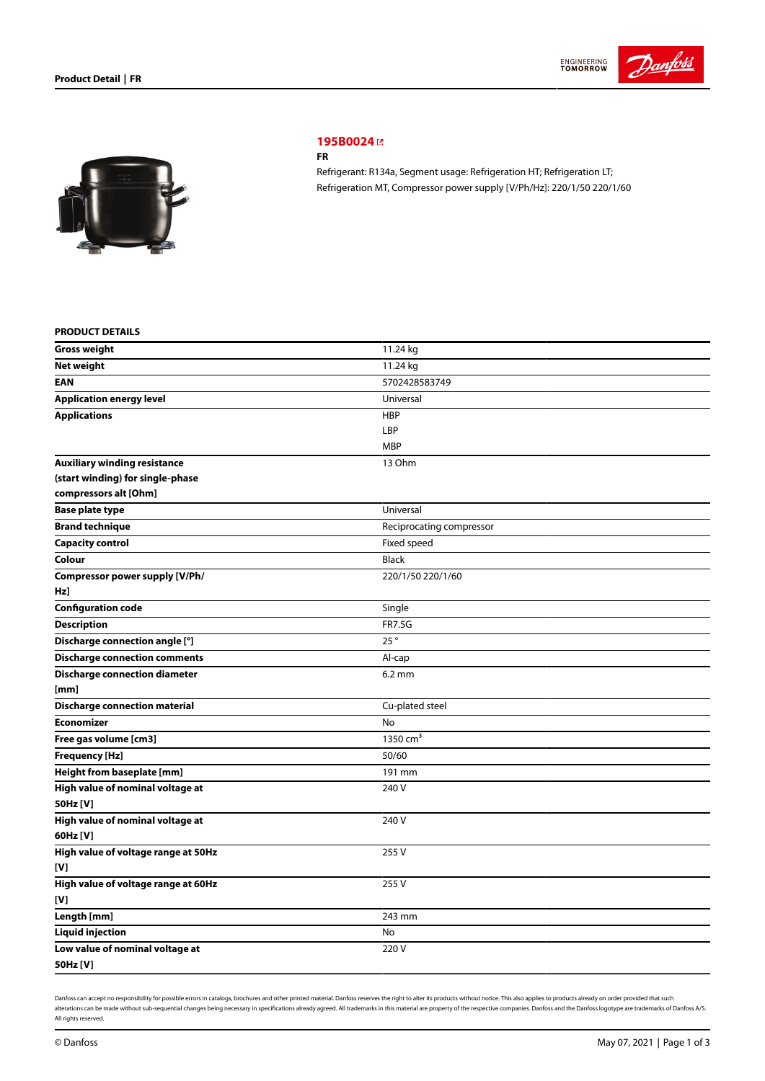



# **[195B0024](https://store.danfoss.com/sg/en/Climate-Solutions-for-cooling/Compressors/Compressors-for-Refrigeration/Danfoss-Light-Commercial-Refrigeration-Compressors/FR/p/195B0024)**

#### **FR**

Refrigerant: R134a, Segment usage: Refrigeration HT; Refrigeration LT; Refrigeration MT, Compressor power supply [V/Ph/Hz]: 220/1/50 220/1/60

## **PRODUCT DETAILS**

| <b>Gross weight</b>                  | 11.24 kg                 |  |
|--------------------------------------|--------------------------|--|
| <b>Net weight</b>                    | 11.24 kg                 |  |
| EAN                                  | 5702428583749            |  |
| <b>Application energy level</b>      | Universal                |  |
| <b>Applications</b>                  | <b>HBP</b>               |  |
|                                      | LBP                      |  |
|                                      | <b>MBP</b>               |  |
| <b>Auxiliary winding resistance</b>  | 13 Ohm                   |  |
| (start winding) for single-phase     |                          |  |
| compressors alt [Ohm]                |                          |  |
| <b>Base plate type</b>               | Universal                |  |
| <b>Brand technique</b>               | Reciprocating compressor |  |
| <b>Capacity control</b>              | Fixed speed              |  |
| Colour                               | <b>Black</b>             |  |
| Compressor power supply [V/Ph/       | 220/1/50 220/1/60        |  |
| Hz]                                  |                          |  |
| <b>Configuration code</b>            | Single                   |  |
| <b>Description</b>                   | <b>FR7.5G</b>            |  |
| Discharge connection angle [°]       | 25°                      |  |
| <b>Discharge connection comments</b> | Al-cap                   |  |
| <b>Discharge connection diameter</b> | $6.2 \text{ mm}$         |  |
| [mm]                                 |                          |  |
| <b>Discharge connection material</b> | Cu-plated steel          |  |
| <b>Economizer</b>                    | <b>No</b>                |  |
| Free gas volume [cm3]                | 1350 $cm3$               |  |
| <b>Frequency [Hz]</b>                | 50/60                    |  |
| Height from baseplate [mm]           | 191 mm                   |  |
| High value of nominal voltage at     | 240 V                    |  |
| 50Hz [V]                             |                          |  |
| High value of nominal voltage at     | 240 V                    |  |
| 60Hz [V]                             |                          |  |
| High value of voltage range at 50Hz  | 255V                     |  |
| [V]                                  |                          |  |
| High value of voltage range at 60Hz  | 255V                     |  |
| [V]                                  |                          |  |
| Length [mm]                          | 243 mm                   |  |
| <b>Liquid injection</b>              | No                       |  |
| Low value of nominal voltage at      | 220V                     |  |
| 50Hz [V]                             |                          |  |

Danfoss can accept no responsibility for possible errors in catalogs, brochures and other printed material. Danfoss reserves the right to alter its products without notice. This also applies to products already on order pr alterations can be made without sub-sequential changes being necessary in specifications already agreed. All trademarks in this material are property of the respective companies. Danfoss and the Danfoss logotype are tradem All rights reserved.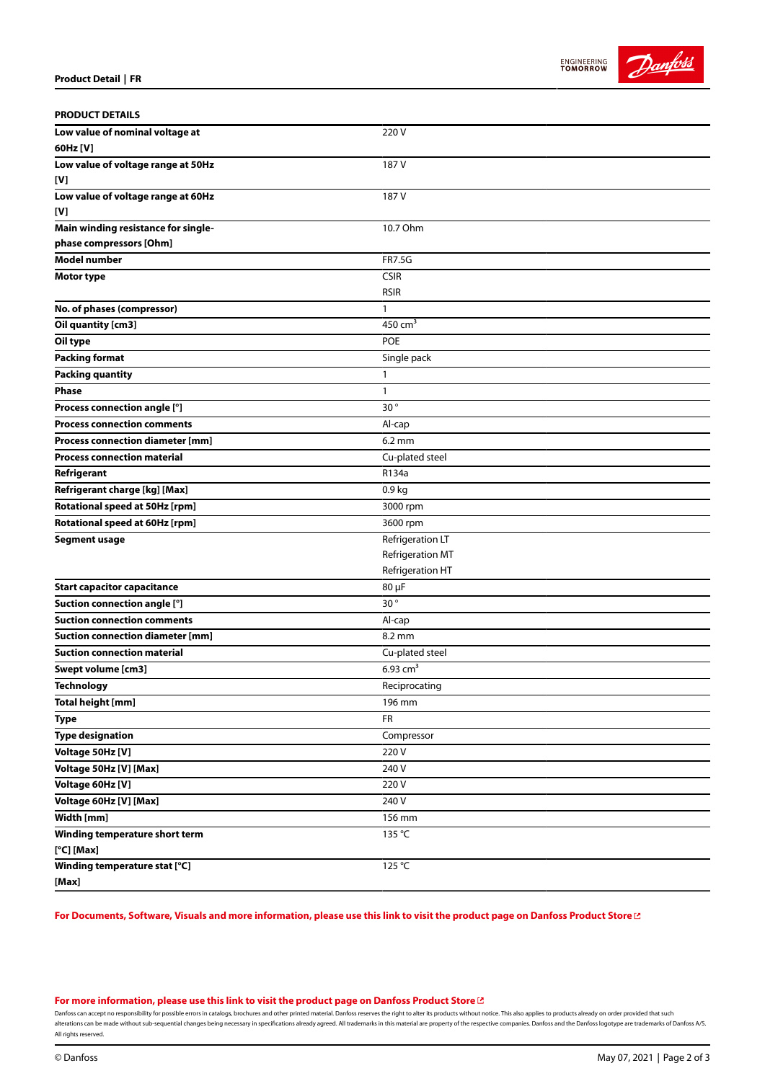



| <b>PRODUCT DETAILS</b>                  |                        |
|-----------------------------------------|------------------------|
| Low value of nominal voltage at         | 220V                   |
| 60Hz [V]                                |                        |
| Low value of voltage range at 50Hz      | 187 V                  |
| [V]                                     |                        |
| Low value of voltage range at 60Hz      | 187 V                  |
| [V]                                     |                        |
| Main winding resistance for single-     | 10.7 Ohm               |
| phase compressors [Ohm]                 |                        |
| <b>Model number</b>                     | <b>FR7.5G</b>          |
| Motor type                              | <b>CSIR</b>            |
|                                         | <b>RSIR</b>            |
| No. of phases (compressor)              | 1                      |
| Oil quantity [cm3]                      | 450 $cm3$              |
| Oil type                                | <b>POE</b>             |
| <b>Packing format</b>                   | Single pack            |
| <b>Packing quantity</b>                 | $\mathbf{1}$           |
| <b>Phase</b>                            | $\mathbf{1}$           |
| Process connection angle [°]            | 30°                    |
| <b>Process connection comments</b>      | Al-cap                 |
| <b>Process connection diameter [mm]</b> | $6.2 \text{ mm}$       |
| <b>Process connection material</b>      | Cu-plated steel        |
| Refrigerant                             | R134a                  |
| Refrigerant charge [kg] [Max]           | 0.9 kg                 |
| Rotational speed at 50Hz [rpm]          | 3000 rpm               |
| Rotational speed at 60Hz [rpm]          | 3600 rpm               |
| <b>Segment usage</b>                    | Refrigeration LT       |
|                                         | Refrigeration MT       |
|                                         | Refrigeration HT       |
| <b>Start capacitor capacitance</b>      | 80 µF                  |
| Suction connection angle [°]            | 30 <sup>°</sup>        |
| <b>Suction connection comments</b>      | Al-cap                 |
| <b>Suction connection diameter [mm]</b> | 8.2 mm                 |
| <b>Suction connection material</b>      | Cu-plated steel        |
| Swept volume [cm3]                      | $6.93$ cm <sup>3</sup> |
| Technology                              | Reciprocating          |
| <b>Total height [mm]</b>                | 196 mm                 |
| <b>Type</b>                             | FR                     |
| <b>Type designation</b>                 | Compressor             |
| Voltage 50Hz [V]                        | 220V                   |
| Voltage 50Hz [V] [Max]                  | 240 V                  |
| Voltage 60Hz [V]                        | 220V                   |
| Voltage 60Hz [V] [Max]                  | 240 V                  |
| Width [mm]                              | 156 mm                 |
| Winding temperature short term          | 135 °C                 |
| $[°C]$ [Max]                            |                        |
| Winding temperature stat [°C]           | 125 °C                 |
| [Max]                                   |                        |
|                                         |                        |

For Documents, Software, Visuals and more [information,](https://store.danfoss.com/sg/en/Climate-Solutions-for-cooling/Compressors/Compressors-for-Refrigeration/Danfoss-Light-Commercial-Refrigeration-Compressors/FR/p/195B0024) please use this link to visit the product page on Danfoss Product Store [2]

#### **For more [information,](https://store.danfoss.com/sg/en/Climate-Solutions-for-cooling/Compressors/Compressors-for-Refrigeration/Danfoss-Light-Commercial-Refrigeration-Compressors/FR/p/195B0024) please use this link to visit the product page on Danfoss Product Store**

Danfoss can accept no responsibility for possible errors in catalogs, brochures and other printed material. Danfoss reserves the right to alter its products without notice. This also applies to products already on order pr alterations can be made without sub-sequential changes being necessary in specifications already agreed. All trademarks in this material are property of the respective companies. Danfoss and the Danfoss logotype are tradem All rights reserved.